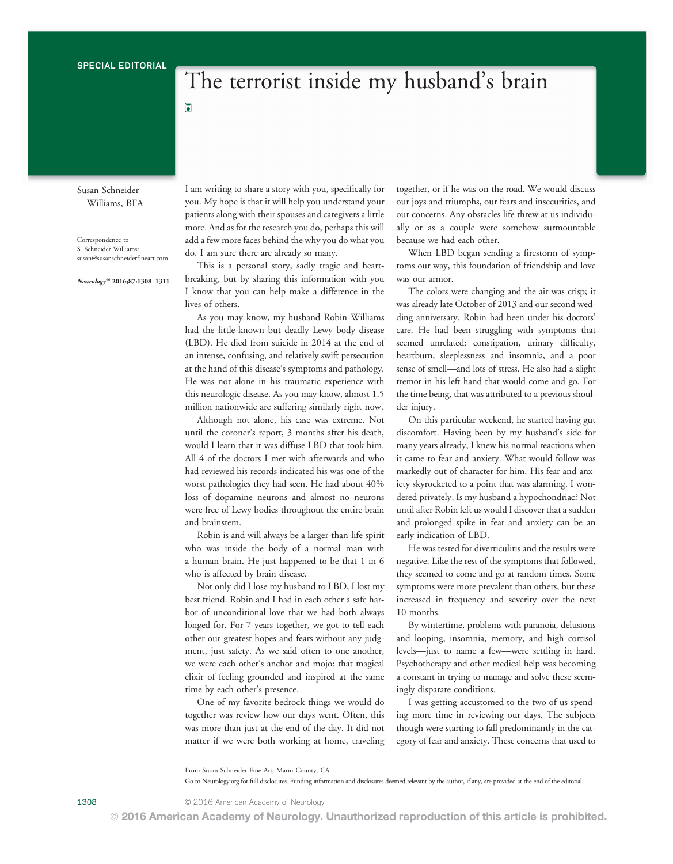$\blacksquare$ 

## The terrorist inside my husband's brain

Susan Schneider Williams, BFA

Correspondence to S. Schneider Williams: [susan@susanschneiderfineart.com](mailto:susan@susanschneiderfineart.com)

Neurology® 2016;87:1308–<sup>1311</sup>

I am writing to share a story with you, specifically for you. My hope is that it will help you understand your patients along with their spouses and caregivers a little more. And as for the research you do, perhaps this will add a few more faces behind the why you do what you do. I am sure there are already so many.

This is a personal story, sadly tragic and heartbreaking, but by sharing this information with you I know that you can help make a difference in the lives of others.

As you may know, my husband Robin Williams had the little-known but deadly Lewy body disease (LBD). He died from suicide in 2014 at the end of an intense, confusing, and relatively swift persecution at the hand of this disease's symptoms and pathology. He was not alone in his traumatic experience with this neurologic disease. As you may know, almost 1.5 million nationwide are suffering similarly right now.

Although not alone, his case was extreme. Not until the coroner's report, 3 months after his death, would I learn that it was diffuse LBD that took him. All 4 of the doctors I met with afterwards and who had reviewed his records indicated his was one of the worst pathologies they had seen. He had about 40% loss of dopamine neurons and almost no neurons were free of Lewy bodies throughout the entire brain and brainstem.

Robin is and will always be a larger-than-life spirit who was inside the body of a normal man with a human brain. He just happened to be that 1 in 6 who is affected by brain disease.

Not only did I lose my husband to LBD, I lost my best friend. Robin and I had in each other a safe harbor of unconditional love that we had both always longed for. For 7 years together, we got to tell each other our greatest hopes and fears without any judgment, just safety. As we said often to one another, we were each other's anchor and mojo: that magical elixir of feeling grounded and inspired at the same time by each other's presence.

One of my favorite bedrock things we would do together was review how our days went. Often, this was more than just at the end of the day. It did not matter if we were both working at home, traveling

together, or if he was on the road. We would discuss our joys and triumphs, our fears and insecurities, and our concerns. Any obstacles life threw at us individually or as a couple were somehow surmountable because we had each other.

When LBD began sending a firestorm of symptoms our way, this foundation of friendship and love was our armor.

The colors were changing and the air was crisp; it was already late October of 2013 and our second wedding anniversary. Robin had been under his doctors' care. He had been struggling with symptoms that seemed unrelated: constipation, urinary difficulty, heartburn, sleeplessness and insomnia, and a poor sense of smell—and lots of stress. He also had a slight tremor in his left hand that would come and go. For the time being, that was attributed to a previous shoulder injury.

On this particular weekend, he started having gut discomfort. Having been by my husband's side for many years already, I knew his normal reactions when it came to fear and anxiety. What would follow was markedly out of character for him. His fear and anxiety skyrocketed to a point that was alarming. I wondered privately, Is my husband a hypochondriac? Not until after Robin left us would I discover that a sudden and prolonged spike in fear and anxiety can be an early indication of LBD.

He was tested for diverticulitis and the results were negative. Like the rest of the symptoms that followed, they seemed to come and go at random times. Some symptoms were more prevalent than others, but these increased in frequency and severity over the next 10 months.

By wintertime, problems with paranoia, delusions and looping, insomnia, memory, and high cortisol levels—just to name a few—were settling in hard. Psychotherapy and other medical help was becoming a constant in trying to manage and solve these seemingly disparate conditions.

I was getting accustomed to the two of us spending more time in reviewing our days. The subjects though were starting to fall predominantly in the category of fear and anxiety. These concerns that used to

1308 **CENETA COMPANY** © 2016 American Academy of Neurology

From Susan Schneider Fine Art, Marin County, CA.

Go to [Neurology.org](http://neurology.org/lookup/doi/10.1212/WNL.0000000000003162) for full disclosures. Funding information and disclosures deemed relevant by the author, if any, are provided at the end of the editorial.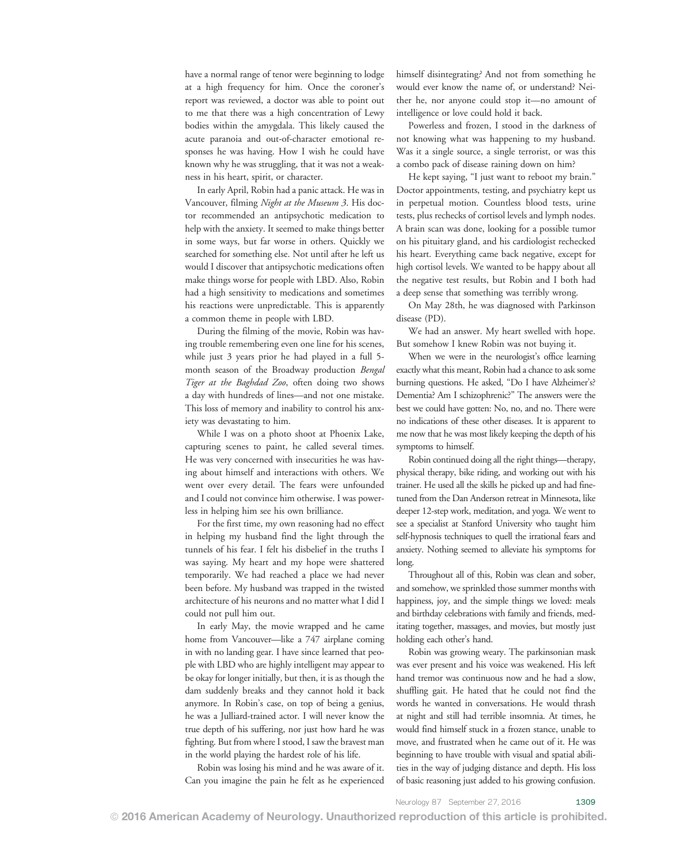have a normal range of tenor were beginning to lodge at a high frequency for him. Once the coroner's report was reviewed, a doctor was able to point out to me that there was a high concentration of Lewy bodies within the amygdala. This likely caused the acute paranoia and out-of-character emotional responses he was having. How I wish he could have known why he was struggling, that it was not a weakness in his heart, spirit, or character.

In early April, Robin had a panic attack. He was in Vancouver, filming Night at the Museum 3. His doctor recommended an antipsychotic medication to help with the anxiety. It seemed to make things better in some ways, but far worse in others. Quickly we searched for something else. Not until after he left us would I discover that antipsychotic medications often make things worse for people with LBD. Also, Robin had a high sensitivity to medications and sometimes his reactions were unpredictable. This is apparently a common theme in people with LBD.

During the filming of the movie, Robin was having trouble remembering even one line for his scenes, while just 3 years prior he had played in a full 5 month season of the Broadway production Bengal Tiger at the Baghdad Zoo, often doing two shows a day with hundreds of lines—and not one mistake. This loss of memory and inability to control his anxiety was devastating to him.

While I was on a photo shoot at Phoenix Lake, capturing scenes to paint, he called several times. He was very concerned with insecurities he was having about himself and interactions with others. We went over every detail. The fears were unfounded and I could not convince him otherwise. I was powerless in helping him see his own brilliance.

For the first time, my own reasoning had no effect in helping my husband find the light through the tunnels of his fear. I felt his disbelief in the truths I was saying. My heart and my hope were shattered temporarily. We had reached a place we had never been before. My husband was trapped in the twisted architecture of his neurons and no matter what I did I could not pull him out.

In early May, the movie wrapped and he came home from Vancouver—like a 747 airplane coming in with no landing gear. I have since learned that people with LBD who are highly intelligent may appear to be okay for longer initially, but then, it is as though the dam suddenly breaks and they cannot hold it back anymore. In Robin's case, on top of being a genius, he was a Julliard-trained actor. I will never know the true depth of his suffering, nor just how hard he was fighting. But from where I stood, I saw the bravest man in the world playing the hardest role of his life.

Robin was losing his mind and he was aware of it. Can you imagine the pain he felt as he experienced himself disintegrating? And not from something he would ever know the name of, or understand? Neither he, nor anyone could stop it—no amount of intelligence or love could hold it back.

Powerless and frozen, I stood in the darkness of not knowing what was happening to my husband. Was it a single source, a single terrorist, or was this a combo pack of disease raining down on him?

He kept saying, "I just want to reboot my brain." Doctor appointments, testing, and psychiatry kept us in perpetual motion. Countless blood tests, urine tests, plus rechecks of cortisol levels and lymph nodes. A brain scan was done, looking for a possible tumor on his pituitary gland, and his cardiologist rechecked his heart. Everything came back negative, except for high cortisol levels. We wanted to be happy about all the negative test results, but Robin and I both had a deep sense that something was terribly wrong.

On May 28th, he was diagnosed with Parkinson disease (PD).

We had an answer. My heart swelled with hope. But somehow I knew Robin was not buying it.

When we were in the neurologist's office learning exactly what this meant, Robin had a chance to ask some burning questions. He asked, "Do I have Alzheimer's? Dementia? Am I schizophrenic?" The answers were the best we could have gotten: No, no, and no. There were no indications of these other diseases. It is apparent to me now that he was most likely keeping the depth of his symptoms to himself.

Robin continued doing all the right things—therapy, physical therapy, bike riding, and working out with his trainer. He used all the skills he picked up and had finetuned from the Dan Anderson retreat in Minnesota, like deeper 12-step work, meditation, and yoga. We went to see a specialist at Stanford University who taught him self-hypnosis techniques to quell the irrational fears and anxiety. Nothing seemed to alleviate his symptoms for long.

Throughout all of this, Robin was clean and sober, and somehow, we sprinkled those summer months with happiness, joy, and the simple things we loved: meals and birthday celebrations with family and friends, meditating together, massages, and movies, but mostly just holding each other's hand.

Robin was growing weary. The parkinsonian mask was ever present and his voice was weakened. His left hand tremor was continuous now and he had a slow, shuffling gait. He hated that he could not find the words he wanted in conversations. He would thrash at night and still had terrible insomnia. At times, he would find himself stuck in a frozen stance, unable to move, and frustrated when he came out of it. He was beginning to have trouble with visual and spatial abilities in the way of judging distance and depth. His loss of basic reasoning just added to his growing confusion.

Neurology 87 September 27, 2016 1309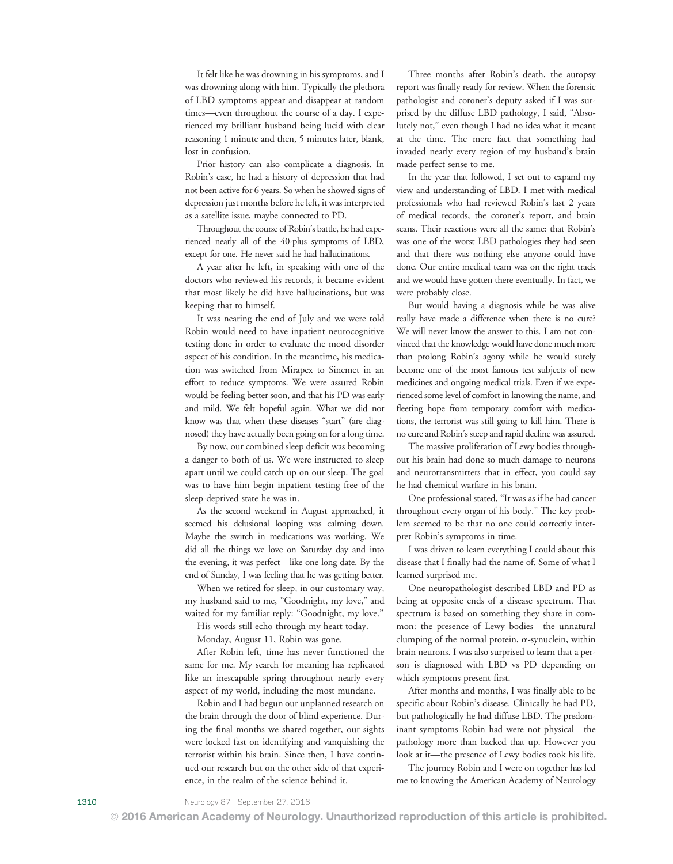It felt like he was drowning in his symptoms, and I was drowning along with him. Typically the plethora of LBD symptoms appear and disappear at random times—even throughout the course of a day. I experienced my brilliant husband being lucid with clear reasoning 1 minute and then, 5 minutes later, blank, lost in confusion.

Prior history can also complicate a diagnosis. In Robin's case, he had a history of depression that had not been active for 6 years. So when he showed signs of depression just months before he left, it was interpreted as a satellite issue, maybe connected to PD.

Throughout the course of Robin's battle, he had experienced nearly all of the 40-plus symptoms of LBD, except for one. He never said he had hallucinations.

A year after he left, in speaking with one of the doctors who reviewed his records, it became evident that most likely he did have hallucinations, but was keeping that to himself.

It was nearing the end of July and we were told Robin would need to have inpatient neurocognitive testing done in order to evaluate the mood disorder aspect of his condition. In the meantime, his medication was switched from Mirapex to Sinemet in an effort to reduce symptoms. We were assured Robin would be feeling better soon, and that his PD was early and mild. We felt hopeful again. What we did not know was that when these diseases "start" (are diagnosed) they have actually been going on for a long time.

By now, our combined sleep deficit was becoming a danger to both of us. We were instructed to sleep apart until we could catch up on our sleep. The goal was to have him begin inpatient testing free of the sleep-deprived state he was in.

As the second weekend in August approached, it seemed his delusional looping was calming down. Maybe the switch in medications was working. We did all the things we love on Saturday day and into the evening, it was perfect—like one long date. By the end of Sunday, I was feeling that he was getting better.

When we retired for sleep, in our customary way, my husband said to me, "Goodnight, my love," and waited for my familiar reply: "Goodnight, my love."

His words still echo through my heart today.

Monday, August 11, Robin was gone.

After Robin left, time has never functioned the same for me. My search for meaning has replicated like an inescapable spring throughout nearly every aspect of my world, including the most mundane.

Robin and I had begun our unplanned research on the brain through the door of blind experience. During the final months we shared together, our sights were locked fast on identifying and vanquishing the terrorist within his brain. Since then, I have continued our research but on the other side of that experience, in the realm of the science behind it.

Three months after Robin's death, the autopsy report was finally ready for review. When the forensic pathologist and coroner's deputy asked if I was surprised by the diffuse LBD pathology, I said, "Absolutely not," even though I had no idea what it meant at the time. The mere fact that something had invaded nearly every region of my husband's brain made perfect sense to me.

In the year that followed, I set out to expand my view and understanding of LBD. I met with medical professionals who had reviewed Robin's last 2 years of medical records, the coroner's report, and brain scans. Their reactions were all the same: that Robin's was one of the worst LBD pathologies they had seen and that there was nothing else anyone could have done. Our entire medical team was on the right track and we would have gotten there eventually. In fact, we were probably close.

But would having a diagnosis while he was alive really have made a difference when there is no cure? We will never know the answer to this. I am not convinced that the knowledge would have done much more than prolong Robin's agony while he would surely become one of the most famous test subjects of new medicines and ongoing medical trials. Even if we experienced some level of comfort in knowing the name, and fleeting hope from temporary comfort with medications, the terrorist was still going to kill him. There is no cure and Robin's steep and rapid decline was assured.

The massive proliferation of Lewy bodies throughout his brain had done so much damage to neurons and neurotransmitters that in effect, you could say he had chemical warfare in his brain.

One professional stated, "It was as if he had cancer throughout every organ of his body." The key problem seemed to be that no one could correctly interpret Robin's symptoms in time.

I was driven to learn everything I could about this disease that I finally had the name of. Some of what I learned surprised me.

One neuropathologist described LBD and PD as being at opposite ends of a disease spectrum. That spectrum is based on something they share in common: the presence of Lewy bodies—the unnatural clumping of the normal protein,  $\alpha$ -synuclein, within brain neurons. I was also surprised to learn that a person is diagnosed with LBD vs PD depending on which symptoms present first.

After months and months, I was finally able to be specific about Robin's disease. Clinically he had PD, but pathologically he had diffuse LBD. The predominant symptoms Robin had were not physical—the pathology more than backed that up. However you look at it—the presence of Lewy bodies took his life.

The journey Robin and I were on together has led me to knowing the American Academy of Neurology